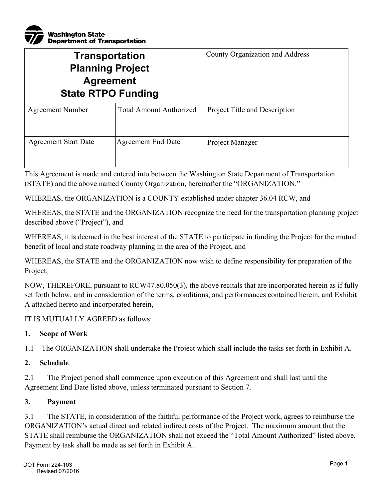

| <b>Transportation</b><br><b>Planning Project</b><br><b>Agreement</b><br><b>State RTPO Funding</b> |                                | County Organization and Address |
|---------------------------------------------------------------------------------------------------|--------------------------------|---------------------------------|
| <b>Agreement Number</b>                                                                           | <b>Total Amount Authorized</b> | Project Title and Description   |
| <b>Agreement Start Date</b>                                                                       | <b>Agreement End Date</b>      | Project Manager                 |

This Agreement is made and entered into between the Washington State Department of Transportation (STATE) and the above named County Organization, hereinafter the "ORGANIZATION."

WHEREAS, the ORGANIZATION is a COUNTY established under chapter 36.04 RCW, and

WHEREAS, the STATE and the ORGANIZATION recognize the need for the transportation planning project described above ("Project"), and

WHEREAS, it is deemed in the best interest of the STATE to participate in funding the Project for the mutual benefit of local and state roadway planning in the area of the Project, and

WHEREAS, the STATE and the ORGANIZATION now wish to define responsibility for preparation of the Project,

NOW, THEREFORE, pursuant to RCW47.80.050(3), the above recitals that are incorporated herein as if fully set forth below, and in consideration of the terms, conditions, and performances contained herein, and Exhibit A attached hereto and incorporated herein,

IT IS MUTUALLY AGREED as follows:

### **1. Scope of Work**

1.1 The ORGANIZATION shall undertake the Project which shall include the tasks set forth in Exhibit A.

#### **2. Schedule**

2.1 The Project period shall commence upon execution of this Agreement and shall last until the Agreement End Date listed above, unless terminated pursuant to Section 7.

#### **3. Payment**

3.1 The STATE, in consideration of the faithful performance of the Project work, agrees to reimburse the ORGANIZATION's actual direct and related indirect costs of the Project. The maximum amount that the STATE shall reimburse the ORGANIZATION shall not exceed the "Total Amount Authorized" listed above. Payment by task shall be made as set forth in Exhibit A.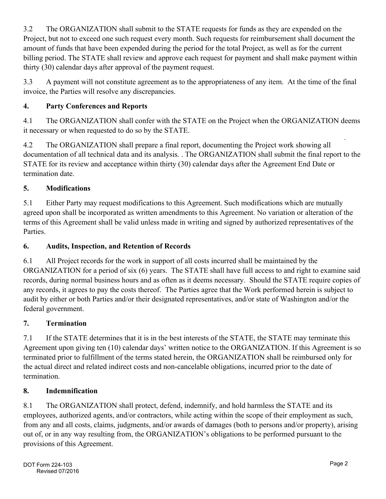3.2 The ORGANIZATION shall submit to the STATE requests for funds as they are expended on the Project, but not to exceed one such request every month. Such requests for reimbursement shall document the amount of funds that have been expended during the period for the total Project, as well as for the current billing period. The STATE shall review and approve each request for payment and shall make payment within thirty (30) calendar days after approval of the payment request.

3.3 A payment will not constitute agreement as to the appropriateness of any item. At the time of the final invoice, the Parties will resolve any discrepancies.

# **4. Party Conferences and Reports**

4.1 The ORGANIZATION shall confer with the STATE on the Project when the ORGANIZATION deems it necessary or when requested to do so by the STATE.<br>4.2 The ORGANIZATION shall prepare a final rep

The ORGANIZATION shall prepare a final report, documenting the Project work showing all documentation of all technical data and its analysis. . The ORGANIZATION shall submit the final report to the STATE for its review and acceptance within thirty (30) calendar days after the Agreement End Date or termination date.

# **5. Modifications**

5.1 Either Party may request modifications to this Agreement. Such modifications which are mutually agreed upon shall be incorporated as written amendments to this Agreement. No variation or alteration of the terms of this Agreement shall be valid unless made in writing and signed by authorized representatives of the Parties.

## **6. Audits, Inspection, and Retention of Records**

6.1 All Project records for the work in support of all costs incurred shall be maintained by the ORGANIZATION for a period of six (6) years. The STATE shall have full access to and right to examine said records, during normal business hours and as often as it deems necessary. Should the STATE require copies of any records, it agrees to pay the costs thereof. The Parties agree that the Work performed herein is subject to audit by either or both Parties and/or their designated representatives, and/or state of Washington and/or the federal government.

# **7. Termination**

7.1 If the STATE determines that it is in the best interests of the STATE, the STATE may terminate this Agreement upon giving ten (10) calendar days' written notice to the ORGANIZATION. If this Agreement is so terminated prior to fulfillment of the terms stated herein, the ORGANIZATION shall be reimbursed only for the actual direct and related indirect costs and non-cancelable obligations, incurred prior to the date of termination.

# **8. Indemnification**

8.1 The ORGANIZATION shall protect, defend, indemnify, and hold harmless the STATE and its employees, authorized agents, and/or contractors, while acting within the scope of their employment as such, from any and all costs, claims, judgments, and/or awards of damages (both to persons and/or property), arising out of, or in any way resulting from, the ORGANIZATION's obligations to be performed pursuant to the provisions of this Agreement.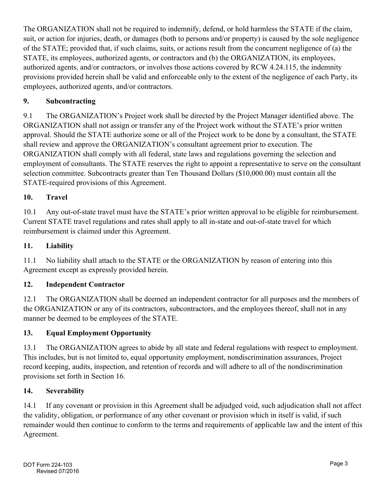The ORGANIZATION shall not be required to indemnify, defend, or hold harmless the STATE if the claim, suit, or action for injuries, death, or damages (both to persons and/or property) is caused by the sole negligence of the STATE; provided that, if such claims, suits, or actions result from the concurrent negligence of (a) the STATE, its employees, authorized agents, or contractors and (b) the ORGANIZATION, its employees, authorized agents, and/or contractors, or involves those actions covered by RCW 4.24.115, the indemnity provisions provided herein shall be valid and enforceable only to the extent of the negligence of each Party, its employees, authorized agents, and/or contractors.

## **9. Subcontracting**

9.1 The ORGANIZATION's Project work shall be directed by the Project Manager identified above. The ORGANIZATION shall not assign or transfer any of the Project work without the STATE's prior written approval. Should the STATE authorize some or all of the Project work to be done by a consultant, the STATE shall review and approve the ORGANIZATION's consultant agreement prior to execution. The ORGANIZATION shall comply with all federal, state laws and regulations governing the selection and employment of consultants. The STATE reserves the right to appoint a representative to serve on the consultant selection committee. Subcontracts greater than Ten Thousand Dollars (\$10,000.00) must contain all the STATE-required provisions of this Agreement.

## **10. Travel**

10.1 Any out-of-state travel must have the STATE's prior written approval to be eligible for reimbursement. Current STATE travel regulations and rates shall apply to all in-state and out-of-state travel for which reimbursement is claimed under this Agreement.

### **11. Liability**

11.1 No liability shall attach to the STATE or the ORGANIZATION by reason of entering into this Agreement except as expressly provided herein.

## **12. Independent Contractor**

12.1 The ORGANIZATION shall be deemed an independent contractor for all purposes and the members of the ORGANIZATION or any of its contractors, subcontractors, and the employees thereof, shall not in any manner be deemed to be employees of the STATE.

### **13. Equal Employment Opportunity**

13.1 The ORGANIZATION agrees to abide by all state and federal regulations with respect to employment. This includes, but is not limited to, equal opportunity employment, nondiscrimination assurances, Project record keeping, audits, inspection, and retention of records and will adhere to all of the nondiscrimination provisions set forth in Section 16.

### **14. Severability**

14.1 If any covenant or provision in this Agreement shall be adjudged void, such adjudication shall not affect the validity, obligation, or performance of any other covenant or provision which in itself is valid, if such remainder would then continue to conform to the terms and requirements of applicable law and the intent of this Agreement.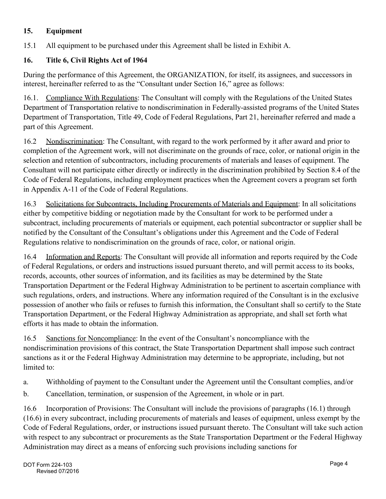## **15. Equipment**

15.1 All equipment to be purchased under this Agreement shall be listed in Exhibit A.

## **16. Title 6, Civil Rights Act of 1964**

During the performance of this Agreement, the ORGANIZATION, for itself, its assignees, and successors in interest, hereinafter referred to as the "Consultant under Section 16," agree as follows:

16.1. Compliance With Regulations: The Consultant will comply with the Regulations of the United States Department of Transportation relative to nondiscrimination in Federally-assisted programs of the United States Department of Transportation, Title 49, Code of Federal Regulations, Part 21, hereinafter referred and made a part of this Agreement.

16.2 Nondiscrimination: The Consultant, with regard to the work performed by it after award and prior to completion of the Agreement work, will not discriminate on the grounds of race, color, or national origin in the selection and retention of subcontractors, including procurements of materials and leases of equipment. The Consultant will not participate either directly or indirectly in the discrimination prohibited by Section 8.4 of the Code of Federal Regulations, including employment practices when the Agreement covers a program set forth in Appendix A-11 of the Code of Federal Regulations.

16.3 Solicitations for Subcontracts, Including Procurements of Materials and Equipment: In all solicitations either by competitive bidding or negotiation made by the Consultant for work to be performed under a subcontract, including procurements of materials or equipment, each potential subcontractor or supplier shall be notified by the Consultant of the Consultant's obligations under this Agreement and the Code of Federal Regulations relative to nondiscrimination on the grounds of race, color, or national origin.

16.4 Information and Reports: The Consultant will provide all information and reports required by the Code of Federal Regulations, or orders and instructions issued pursuant thereto, and will permit access to its books, records, accounts, other sources of information, and its facilities as may be determined by the State Transportation Department or the Federal Highway Administration to be pertinent to ascertain compliance with such regulations, orders, and instructions. Where any information required of the Consultant is in the exclusive possession of another who fails or refuses to furnish this information, the Consultant shall so certify to the State Transportation Department, or the Federal Highway Administration as appropriate, and shall set forth what efforts it has made to obtain the information.

16.5 Sanctions for Noncompliance: In the event of the Consultant's noncompliance with the nondiscrimination provisions of this contract, the State Transportation Department shall impose such contract sanctions as it or the Federal Highway Administration may determine to be appropriate, including, but not limited to:

- a. Withholding of payment to the Consultant under the Agreement until the Consultant complies, and/or
- b. Cancellation, termination, or suspension of the Agreement, in whole or in part.

16.6 Incorporation of Provisions: The Consultant will include the provisions of paragraphs (16.1) through (16.6) in every subcontract, including procurements of materials and leases of equipment, unless exempt by the Code of Federal Regulations, order, or instructions issued pursuant thereto. The Consultant will take such action with respect to any subcontract or procurements as the State Transportation Department or the Federal Highway Administration may direct as a means of enforcing such provisions including sanctions for